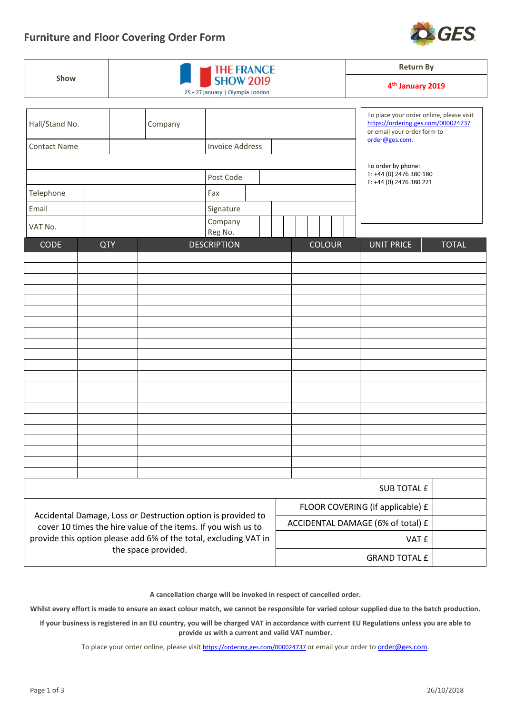

| Show                                                                                                                                                     |            |                                                      |           |                        |  |                                   | <b>Return By</b><br>4 <sup>th</sup> January 2019 |  |  |                                                                   |                                          |  |  |  |
|----------------------------------------------------------------------------------------------------------------------------------------------------------|------------|------------------------------------------------------|-----------|------------------------|--|-----------------------------------|--------------------------------------------------|--|--|-------------------------------------------------------------------|------------------------------------------|--|--|--|
|                                                                                                                                                          |            | <b>SHOW 2019</b><br>25 - 27 January   Olympia London |           |                        |  |                                   |                                                  |  |  |                                                                   |                                          |  |  |  |
|                                                                                                                                                          |            |                                                      |           |                        |  |                                   |                                                  |  |  |                                                                   |                                          |  |  |  |
| Hall/Stand No.                                                                                                                                           |            |                                                      | Company   |                        |  |                                   |                                                  |  |  | https://ordering.ges.com/000024737<br>or email your order form to | To place your order online, please visit |  |  |  |
| <b>Contact Name</b>                                                                                                                                      |            |                                                      |           | <b>Invoice Address</b> |  |                                   |                                                  |  |  | order@ges.com.                                                    |                                          |  |  |  |
|                                                                                                                                                          |            |                                                      |           |                        |  |                                   |                                                  |  |  | To order by phone:                                                |                                          |  |  |  |
|                                                                                                                                                          |            |                                                      | Post Code |                        |  |                                   |                                                  |  |  | T: +44 (0) 2476 380 180<br>F: +44 (0) 2476 380 221                |                                          |  |  |  |
| Telephone                                                                                                                                                |            |                                                      |           | Fax                    |  |                                   |                                                  |  |  |                                                                   |                                          |  |  |  |
| Email                                                                                                                                                    |            |                                                      |           | Signature              |  |                                   |                                                  |  |  |                                                                   |                                          |  |  |  |
| VAT No.                                                                                                                                                  |            |                                                      |           | Company<br>Reg No.     |  |                                   |                                                  |  |  |                                                                   |                                          |  |  |  |
| <b>CODE</b>                                                                                                                                              | <b>QTY</b> |                                                      |           | <b>DESCRIPTION</b>     |  |                                   | <b>COLOUR</b>                                    |  |  | <b>UNIT PRICE</b>                                                 | <b>TOTAL</b>                             |  |  |  |
|                                                                                                                                                          |            |                                                      |           |                        |  |                                   |                                                  |  |  |                                                                   |                                          |  |  |  |
|                                                                                                                                                          |            |                                                      |           |                        |  |                                   |                                                  |  |  |                                                                   |                                          |  |  |  |
|                                                                                                                                                          |            |                                                      |           |                        |  |                                   |                                                  |  |  |                                                                   |                                          |  |  |  |
|                                                                                                                                                          |            |                                                      |           |                        |  |                                   |                                                  |  |  |                                                                   |                                          |  |  |  |
|                                                                                                                                                          |            |                                                      |           |                        |  |                                   |                                                  |  |  |                                                                   |                                          |  |  |  |
|                                                                                                                                                          |            |                                                      |           |                        |  |                                   |                                                  |  |  |                                                                   |                                          |  |  |  |
|                                                                                                                                                          |            |                                                      |           |                        |  |                                   |                                                  |  |  |                                                                   |                                          |  |  |  |
|                                                                                                                                                          |            |                                                      |           |                        |  |                                   |                                                  |  |  |                                                                   |                                          |  |  |  |
|                                                                                                                                                          |            |                                                      |           |                        |  |                                   |                                                  |  |  |                                                                   |                                          |  |  |  |
|                                                                                                                                                          |            |                                                      |           |                        |  |                                   |                                                  |  |  |                                                                   |                                          |  |  |  |
|                                                                                                                                                          |            |                                                      |           |                        |  |                                   |                                                  |  |  |                                                                   |                                          |  |  |  |
|                                                                                                                                                          |            |                                                      |           |                        |  |                                   |                                                  |  |  |                                                                   |                                          |  |  |  |
|                                                                                                                                                          |            |                                                      |           |                        |  |                                   |                                                  |  |  |                                                                   |                                          |  |  |  |
|                                                                                                                                                          |            |                                                      |           |                        |  |                                   |                                                  |  |  |                                                                   |                                          |  |  |  |
|                                                                                                                                                          |            |                                                      |           |                        |  |                                   |                                                  |  |  |                                                                   |                                          |  |  |  |
|                                                                                                                                                          |            |                                                      |           |                        |  |                                   |                                                  |  |  | SUB TOTAL £                                                       |                                          |  |  |  |
| Accidental Damage, Loss or Destruction option is provided to                                                                                             |            |                                                      |           |                        |  |                                   | FLOOR COVERING (if applicable) £                 |  |  |                                                                   |                                          |  |  |  |
|                                                                                                                                                          |            |                                                      |           |                        |  | ACCIDENTAL DAMAGE (6% of total) £ |                                                  |  |  |                                                                   |                                          |  |  |  |
| cover 10 times the hire value of the items. If you wish us to<br>provide this option please add 6% of the total, excluding VAT in<br>the space provided. |            |                                                      |           |                        |  |                                   | VAT £                                            |  |  |                                                                   |                                          |  |  |  |
|                                                                                                                                                          |            |                                                      |           |                        |  | <b>GRAND TOTAL £</b>              |                                                  |  |  |                                                                   |                                          |  |  |  |

**A cancellation charge will be invoked in respect of cancelled order.** 

**Whilst every effort is made to ensure an exact colour match, we cannot be responsible for varied colour supplied due to the batch production.** 

**If your business is registered in an EU country, you will be charged VAT in accordance with curren[t EU Regulations](http://europa.eu/business/vat-customs/index_en.htm) unless you are able to provide us with a current and valid VAT number.**

To place your order online, please visit <https://ordering.ges.com/000024737> or email your order t[o order@ges.com.](mailto:order@ges.com)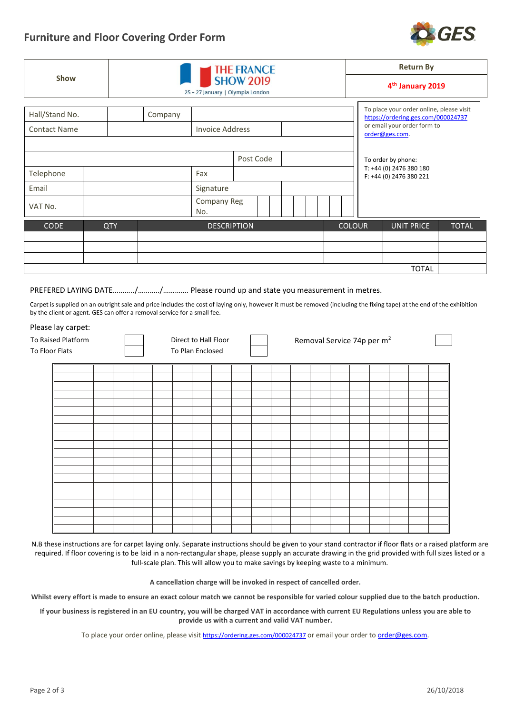## **Furniture and Floor Covering Order Form**



|                                       |            |                                                      | <b>THE FRANCE</b>  | <b>Return By</b> |  |  |               |  |                                                                                                                                 |              |  |  |  |
|---------------------------------------|------------|------------------------------------------------------|--------------------|------------------|--|--|---------------|--|---------------------------------------------------------------------------------------------------------------------------------|--------------|--|--|--|
| <b>Show</b>                           |            | <b>SHOW 2019</b><br>25 - 27 January   Olympia London |                    |                  |  |  |               |  | 4 <sup>th</sup> January 2019                                                                                                    |              |  |  |  |
| Hall/Stand No.<br><b>Contact Name</b> |            | Company<br><b>Invoice Address</b>                    |                    |                  |  |  |               |  | To place your order online, please visit<br>https://ordering.ges.com/000024737<br>or email your order form to<br>order@ges.com. |              |  |  |  |
|                                       |            |                                                      |                    | Post Code        |  |  |               |  | To order by phone:                                                                                                              |              |  |  |  |
| Telephone                             |            |                                                      | Fax                |                  |  |  |               |  | T: +44 (0) 2476 380 180<br>F: +44 (0) 2476 380 221                                                                              |              |  |  |  |
| Email                                 |            |                                                      | Signature          |                  |  |  |               |  |                                                                                                                                 |              |  |  |  |
| VAT No.                               |            |                                                      | Company Reg<br>No. |                  |  |  |               |  |                                                                                                                                 |              |  |  |  |
| <b>CODE</b>                           | <b>QTY</b> |                                                      | <b>DESCRIPTION</b> |                  |  |  | <b>COLOUR</b> |  | <b>UNIT PRICE</b>                                                                                                               | <b>TOTAL</b> |  |  |  |
|                                       |            |                                                      |                    |                  |  |  |               |  |                                                                                                                                 |              |  |  |  |
|                                       |            |                                                      |                    |                  |  |  |               |  |                                                                                                                                 |              |  |  |  |
|                                       |            |                                                      |                    |                  |  |  |               |  |                                                                                                                                 |              |  |  |  |
|                                       |            |                                                      |                    |                  |  |  |               |  | <b>TOTAL</b>                                                                                                                    |              |  |  |  |

PREFERED LAYING DATE………../………../…………. Please round up and state you measurement in metres.

Carpet is supplied on an outright sale and price includes the cost of laying only, however it must be removed (including the fixing tape) at the end of the exhibition by the client or agent. GES can offer a removal service for a small fee.

## Please lay carpet:

| To Raised Platform<br>To Floor Flats | Direct to Hall Floor<br>To Plan Enclosed |  |  |  |  |  | Removal Service 74p per m <sup>2</sup> |  |  |  |  |  |  |  |  |  |  |
|--------------------------------------|------------------------------------------|--|--|--|--|--|----------------------------------------|--|--|--|--|--|--|--|--|--|--|
|                                      |                                          |  |  |  |  |  |                                        |  |  |  |  |  |  |  |  |  |  |
|                                      |                                          |  |  |  |  |  |                                        |  |  |  |  |  |  |  |  |  |  |
|                                      |                                          |  |  |  |  |  |                                        |  |  |  |  |  |  |  |  |  |  |
|                                      |                                          |  |  |  |  |  |                                        |  |  |  |  |  |  |  |  |  |  |
|                                      |                                          |  |  |  |  |  |                                        |  |  |  |  |  |  |  |  |  |  |
|                                      |                                          |  |  |  |  |  |                                        |  |  |  |  |  |  |  |  |  |  |
|                                      |                                          |  |  |  |  |  |                                        |  |  |  |  |  |  |  |  |  |  |
|                                      |                                          |  |  |  |  |  |                                        |  |  |  |  |  |  |  |  |  |  |
|                                      |                                          |  |  |  |  |  |                                        |  |  |  |  |  |  |  |  |  |  |
|                                      |                                          |  |  |  |  |  |                                        |  |  |  |  |  |  |  |  |  |  |

N.B these instructions are for carpet laying only. Separate instructions should be given to your stand contractor if floor flats or a raised platform are required. If floor covering is to be laid in a non-rectangular shape, please supply an accurate drawing in the grid provided with full sizes listed or a full-scale plan. This will allow you to make savings by keeping waste to a minimum.

**A cancellation charge will be invoked in respect of cancelled order.** 

**Whilst every effort is made to ensure an exact colour match we cannot be responsible for varied colour supplied due to the batch production.** 

**If your business is registered in an EU country, you will be charged VAT in accordance with curren[t EU Regulations](http://europa.eu/business/vat-customs/index_en.htm) unless you are able to provide us with a current and valid VAT number.**

To place your order online, please visit <https://ordering.ges.com/000024737> or email your order t[o order@ges.com.](mailto:order@ges.com)